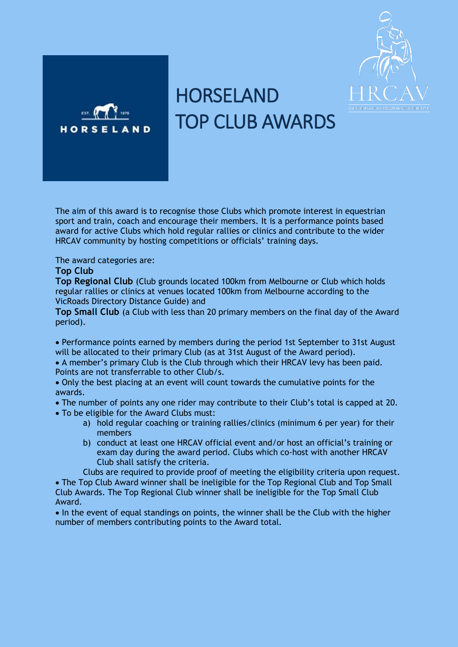



## HORSELAND TOP CLUB AWARDS

The aim of this award is to recognise those Clubs which promote interest in equestrian sport and train, coach and encourage their members. It is a performance points based award for active Clubs which hold regular rallies or clinics and contribute to the wider HRCAV community by hosting competitions or officials' training days.

The award categories are:

## **Top Club**

**Top Regional Club** (Club grounds located 100km from Melbourne or Club which holds regular rallies or clinics at venues located 100km from Melbourne according to the VicRoads Directory Distance Guide) and

**Top Small Club** (a Club with less than 20 primary members on the final day of the Award period).

• Performance points earned by members during the period 1st September to 31st August will be allocated to their primary Club (as at 31st August of the Award period).

• A member's primary Club is the Club through which their HRCAV levy has been paid. Points are not transferrable to other Club/s.

- Only the best placing at an event will count towards the cumulative points for the awards.
- The number of points any one rider may contribute to their Club's total is capped at 20.
- To be eligible for the Award Clubs must:
	- a) hold regular coaching or training rallies/clinics (minimum 6 per year) for their members
	- b) conduct at least one HRCAV official event and/or host an official's training or exam day during the award period. Clubs which co-host with another HRCAV Club shall satisfy the criteria.

Clubs are required to provide proof of meeting the eligibility criteria upon request. • The Top Club Award winner shall be ineligible for the Top Regional Club and Top Small Club Awards. The Top Regional Club winner shall be ineligible for the Top Small Club Award.

• In the event of equal standings on points, the winner shall be the Club with the higher number of members contributing points to the Award total.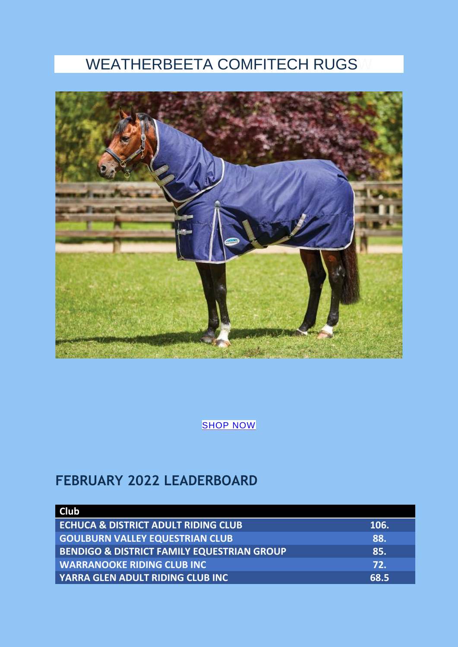## WEATHERBEETA COMFITECH RUGS



**[SHOP NOW](https://www.horseland.com.au/for-horses/horse-rugs-accessories/turnout-rugs-horse-rugs-weatherbeeta-rugs/?brand=p33367)** 

## **FEBRUARY 2022 LEADERBOARD**

| Club                                                  |      |
|-------------------------------------------------------|------|
| <b>ECHUCA &amp; DISTRICT ADULT RIDING CLUB</b>        | 106. |
| <b>GOULBURN VALLEY EQUESTRIAN CLUB</b>                | 88.  |
| <b>BENDIGO &amp; DISTRICT FAMILY EQUESTRIAN GROUP</b> | 85.  |
| <b>WARRANOOKE RIDING CLUB INC</b>                     | 72.  |
| YARRA GLEN ADULT RIDING CLUB INC                      | 68.5 |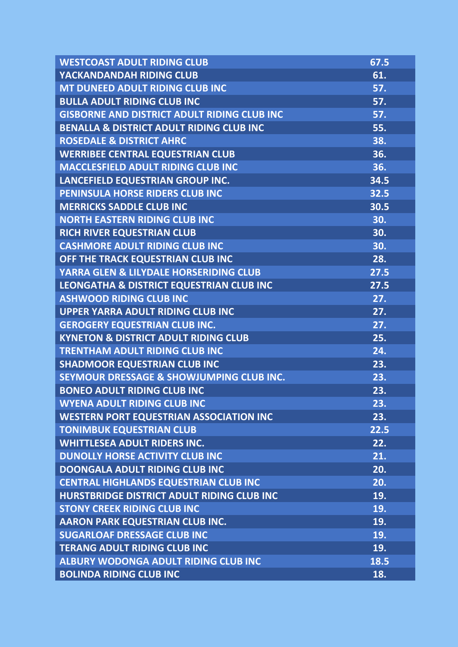| <b>WESTCOAST ADULT RIDING CLUB</b>                  | 67.5 |
|-----------------------------------------------------|------|
| YACKANDANDAH RIDING CLUB                            | 61.  |
| MT DUNEED ADULT RIDING CLUB INC                     | 57.  |
| <b>BULLA ADULT RIDING CLUB INC</b>                  | 57.  |
| <b>GISBORNE AND DISTRICT ADULT RIDING CLUB INC</b>  | 57.  |
| <b>BENALLA &amp; DISTRICT ADULT RIDING CLUB INC</b> | 55.  |
| <b>ROSEDALE &amp; DISTRICT AHRC</b>                 | 38.  |
| <b>WERRIBEE CENTRAL EQUESTRIAN CLUB</b>             | 36.  |
| <b>MACCLESFIELD ADULT RIDING CLUB INC</b>           | 36.  |
| LANCEFIELD EQUESTRIAN GROUP INC.                    | 34.5 |
| PENINSULA HORSE RIDERS CLUB INC                     | 32.5 |
| <b>MERRICKS SADDLE CLUB INC</b>                     | 30.5 |
| <b>NORTH EASTERN RIDING CLUB INC</b>                | 30.  |
| RICH RIVER EQUESTRIAN CLUB                          | 30.  |
| <b>CASHMORE ADULT RIDING CLUB INC</b>               | 30.  |
| OFF THE TRACK EQUESTRIAN CLUB INC                   | 28.  |
| YARRA GLEN & LILYDALE HORSERIDING CLUB              | 27.5 |
| LEONGATHA & DISTRICT EQUESTRIAN CLUB INC            | 27.5 |
| <b>ASHWOOD RIDING CLUB INC</b>                      | 27.  |
| <b>UPPER YARRA ADULT RIDING CLUB INC</b>            | 27.  |
| <b>GEROGERY EQUESTRIAN CLUB INC.</b>                | 27.  |
| <b>KYNETON &amp; DISTRICT ADULT RIDING CLUB</b>     | 25.  |
| <b>TRENTHAM ADULT RIDING CLUB INC</b>               | 24.  |
| <b>SHADMOOR EQUESTRIAN CLUB INC</b>                 | 23.  |
| SEYMOUR DRESSAGE & SHOWJUMPING CLUB INC.            | 23.  |
| <b>BONEO ADULT RIDING CLUB INC</b>                  | 23.  |
| <b>WYENA ADULT RIDING CLUB INC</b>                  | 23.  |
| <b>WESTERN PORT EQUESTRIAN ASSOCIATION INC</b>      | 23.  |
| <b>TONIMBUK EQUESTRIAN CLUB</b>                     | 22.5 |
| <b>WHITTLESEA ADULT RIDERS INC.</b>                 | 22.  |
| <b>DUNOLLY HORSE ACTIVITY CLUB INC</b>              | 21.  |
| <b>DOONGALA ADULT RIDING CLUB INC</b>               | 20.  |
| <b>CENTRAL HIGHLANDS EQUESTRIAN CLUB INC</b>        | 20.  |
| <b>HURSTBRIDGE DISTRICT ADULT RIDING CLUB INC</b>   | 19.  |
| <b>STONY CREEK RIDING CLUB INC</b>                  | 19.  |
| <b>AARON PARK EQUESTRIAN CLUB INC.</b>              | 19.  |
| <b>SUGARLOAF DRESSAGE CLUB INC</b>                  | 19.  |
| <b>TERANG ADULT RIDING CLUB INC</b>                 | 19.  |
| <b>ALBURY WODONGA ADULT RIDING CLUB INC</b>         | 18.5 |
| <b>BOLINDA RIDING CLUB INC</b>                      | 18.  |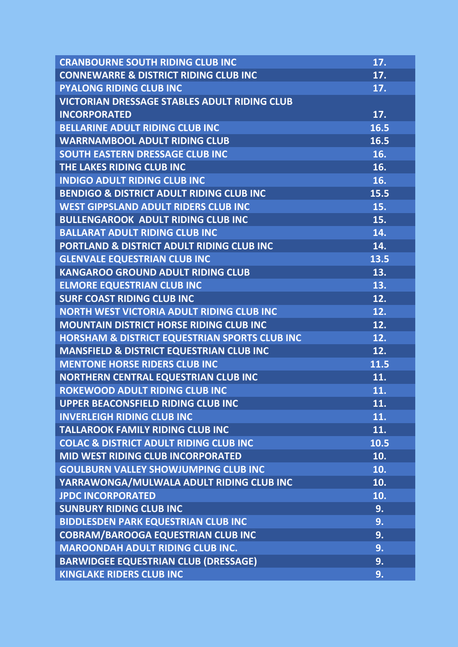| <b>CRANBOURNE SOUTH RIDING CLUB INC</b>             | 17.  |
|-----------------------------------------------------|------|
| <b>CONNEWARRE &amp; DISTRICT RIDING CLUB INC</b>    | 17.  |
| <b>PYALONG RIDING CLUB INC</b>                      | 17.  |
| <b>VICTORIAN DRESSAGE STABLES ADULT RIDING CLUB</b> |      |
| <b>INCORPORATED</b>                                 | 17.  |
| <b>BELLARINE ADULT RIDING CLUB INC</b>              | 16.5 |
| <b>WARRNAMBOOL ADULT RIDING CLUB</b>                | 16.5 |
| SOUTH EASTERN DRESSAGE CLUB INC                     | 16.  |
| THE LAKES RIDING CLUB INC                           | 16.  |
| <b>INDIGO ADULT RIDING CLUB INC</b>                 | 16.  |
| <b>BENDIGO &amp; DISTRICT ADULT RIDING CLUB INC</b> | 15.5 |
| <b>WEST GIPPSLAND ADULT RIDERS CLUB INC</b>         | 15.  |
| <b>BULLENGAROOK ADULT RIDING CLUB INC</b>           | 15.  |
| <b>BALLARAT ADULT RIDING CLUB INC</b>               | 14.  |
| PORTLAND & DISTRICT ADULT RIDING CLUB INC           | 14.  |
| <b>GLENVALE EQUESTRIAN CLUB INC</b>                 | 13.5 |
| <b>KANGAROO GROUND ADULT RIDING CLUB</b>            | 13.  |
| <b>ELMORE EQUESTRIAN CLUB INC</b>                   | 13.  |
| <b>SURF COAST RIDING CLUB INC</b>                   | 12.  |
| <b>NORTH WEST VICTORIA ADULT RIDING CLUB INC</b>    | 12.  |
| <b>MOUNTAIN DISTRICT HORSE RIDING CLUB INC</b>      | 12.  |
| HORSHAM & DISTRICT EQUESTRIAN SPORTS CLUB INC       | 12.  |
| <b>MANSFIELD &amp; DISTRICT EQUESTRIAN CLUB INC</b> | 12.  |
| <b>MENTONE HORSE RIDERS CLUB INC</b>                | 11.5 |
| <b>NORTHERN CENTRAL EQUESTRIAN CLUB INC</b>         | 11.  |
| <b>ROKEWOOD ADULT RIDING CLUB INC</b>               | 11.  |
| <b>UPPER BEACONSFIELD RIDING CLUB INC</b>           | 11.  |
| <b>INVERLEIGH RIDING CLUB INC</b>                   | 11.  |
| <b>TALLAROOK FAMILY RIDING CLUB INC</b>             | 11.  |
| <b>COLAC &amp; DISTRICT ADULT RIDING CLUB INC</b>   | 10.5 |
| <b>MID WEST RIDING CLUB INCORPORATED</b>            | 10.  |
| <b>GOULBURN VALLEY SHOWJUMPING CLUB INC</b>         | 10.  |
| YARRAWONGA/MULWALA ADULT RIDING CLUB INC            | 10.  |
| <b>JPDC INCORPORATED</b>                            | 10.  |
| <b>SUNBURY RIDING CLUB INC</b>                      | 9.   |
| <b>BIDDLESDEN PARK EQUESTRIAN CLUB INC</b>          | 9.   |
| <b>COBRAM/BAROOGA EQUESTRIAN CLUB INC</b>           | 9.   |
| <b>MAROONDAH ADULT RIDING CLUB INC.</b>             | 9.   |
| <b>BARWIDGEE EQUESTRIAN CLUB (DRESSAGE)</b>         | 9.   |
| <b>KINGLAKE RIDERS CLUB INC</b>                     | 9.   |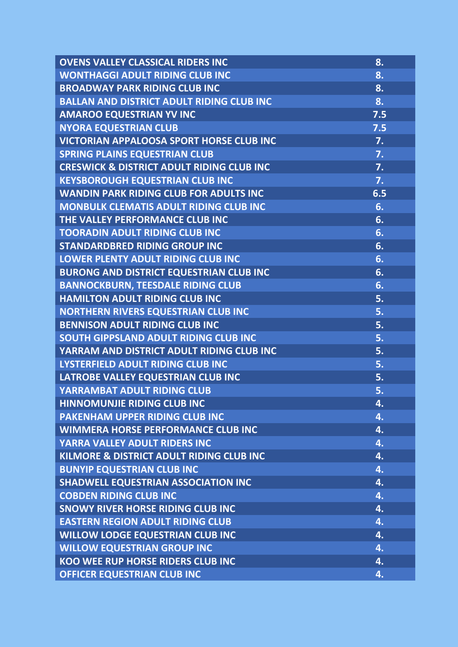| <b>OVENS VALLEY CLASSICAL RIDERS INC</b>             | 8.  |
|------------------------------------------------------|-----|
| <b>WONTHAGGI ADULT RIDING CLUB INC</b>               | 8.  |
| <b>BROADWAY PARK RIDING CLUB INC</b>                 | 8.  |
| <b>BALLAN AND DISTRICT ADULT RIDING CLUB INC</b>     | 8.  |
| <b>AMAROO EQUESTRIAN YV INC</b>                      | 7.5 |
| <b>NYORA EQUESTRIAN CLUB</b>                         | 7.5 |
| <b>VICTORIAN APPALOOSA SPORT HORSE CLUB INC</b>      | 7.  |
| <b>SPRING PLAINS EQUESTRIAN CLUB</b>                 | 7.  |
| <b>CRESWICK &amp; DISTRICT ADULT RIDING CLUB INC</b> | 7.  |
| <b>KEYSBOROUGH EQUESTRIAN CLUB INC</b>               | 7.  |
| <b>WANDIN PARK RIDING CLUB FOR ADULTS INC</b>        | 6.5 |
| MONBULK CLEMATIS ADULT RIDING CLUB INC               | 6.  |
| THE VALLEY PERFORMANCE CLUB INC                      | 6.  |
| <b>TOORADIN ADULT RIDING CLUB INC</b>                | 6.  |
| <b>STANDARDBRED RIDING GROUP INC</b>                 | 6.  |
| <b>LOWER PLENTY ADULT RIDING CLUB INC</b>            | 6.  |
| <b>BURONG AND DISTRICT EQUESTRIAN CLUB INC</b>       | 6.  |
| <b>BANNOCKBURN, TEESDALE RIDING CLUB</b>             | 6.  |
| <b>HAMILTON ADULT RIDING CLUB INC</b>                | 5.  |
| <b>NORTHERN RIVERS EQUESTRIAN CLUB INC</b>           | 5.  |
| <b>BENNISON ADULT RIDING CLUB INC</b>                | 5.  |
| SOUTH GIPPSLAND ADULT RIDING CLUB INC                | 5.  |
| YARRAM AND DISTRICT ADULT RIDING CLUB INC            | 5.  |
| LYSTERFIELD ADULT RIDING CLUB INC                    | 5.  |
| LATROBE VALLEY EQUESTRIAN CLUB INC                   | 5.  |
| YARRAMBAT ADULT RIDING CLUB                          | 5.  |
| <b>HINNOMUNJIE RIDING CLUB INC</b>                   | 4.  |
| <b>PAKENHAM UPPER RIDING CLUB INC</b>                | 4.  |
| <b>WIMMERA HORSE PERFORMANCE CLUB INC</b>            | 4.  |
| YARRA VALLEY ADULT RIDERS INC                        | 4.  |
| KILMORE & DISTRICT ADULT RIDING CLUB INC             | 4.  |
| <b>BUNYIP EQUESTRIAN CLUB INC</b>                    | 4.  |
| <b>SHADWELL EQUESTRIAN ASSOCIATION INC</b>           | 4.  |
| <b>COBDEN RIDING CLUB INC</b>                        | 4.  |
| <b>SNOWY RIVER HORSE RIDING CLUB INC</b>             | 4.  |
| <b>EASTERN REGION ADULT RIDING CLUB</b>              | 4.  |
| <b>WILLOW LODGE EQUESTRIAN CLUB INC</b>              | 4.  |
| <b>WILLOW EQUESTRIAN GROUP INC</b>                   | 4.  |
| KOO WEE RUP HORSE RIDERS CLUB INC                    | 4.  |
| <b>OFFICER EQUESTRIAN CLUB INC</b>                   | 4.  |